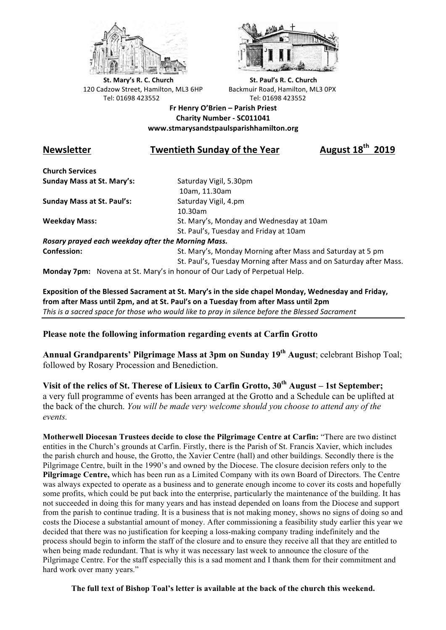



**St.** Mary's R. C. Church St. Paul's R. C. Church 120 Cadzow Street, Hamilton, ML3 6HP Backmuir Road, Hamilton, ML3 0PX Tel: 01698 423552 Tel: 01698 423552

**Fr Henry O'Brien – Parish Priest Charity Number - SC011041 www.stmarysandstpaulsparishhamilton.org**

## **Newsletter Twentieth Sunday of the Year August 18th 2019**

**Church Services Sunday Mass at St. Mary's:** Saturday Vigil, 5.30pm

**Sunday Mass at St. Paul's:** Saturday Vigil, 4.pm

 10am, 11.30am 10.30am **Weekday Mass:** St. Mary's, Monday and Wednesday at 10am St. Paul's, Tuesday and Friday at 10am

*Rosary prayed each weekday after the Morning Mass.* **Confession:** St. Mary's, Monday Morning after Mass and Saturday at 5 pm

St. Paul's, Tuesday Morning after Mass and on Saturday after Mass.

**Monday 7pm:** Novena at St. Mary's in honour of Our Lady of Perpetual Help.

Exposition of the Blessed Sacrament at St. Mary's in the side chapel Monday, Wednesday and Friday, from after Mass until 2pm, and at St. Paul's on a Tuesday from after Mass until 2pm This is a sacred space for those who would like to pray in silence before the Blessed Sacrament

## **Please note the following information regarding events at Carfin Grotto**

**Annual Grandparents' Pilgrimage Mass at 3pm on Sunday 19th August**; celebrant Bishop Toal; followed by Rosary Procession and Benediction.

**Visit of the relics of St. Therese of Lisieux to Carfin Grotto, 30th August – 1st September;**  a very full programme of events has been arranged at the Grotto and a Schedule can be uplifted at the back of the church. *You will be made very welcome should you choose to attend any of the events.*

**Motherwell Diocesan Trustees decide to close the Pilgrimage Centre at Carfin:** "There are two distinct entities in the Church's grounds at Carfin. Firstly, there is the Parish of St. Francis Xavier, which includes the parish church and house, the Grotto, the Xavier Centre (hall) and other buildings. Secondly there is the Pilgrimage Centre, built in the 1990's and owned by the Diocese. The closure decision refers only to the **Pilgrimage Centre,** which has been run as a Limited Company with its own Board of Directors. The Centre was always expected to operate as a business and to generate enough income to cover its costs and hopefully some profits, which could be put back into the enterprise, particularly the maintenance of the building. It has not succeeded in doing this for many years and has instead depended on loans from the Diocese and support from the parish to continue trading. It is a business that is not making money, shows no signs of doing so and costs the Diocese a substantial amount of money. After commissioning a feasibility study earlier this year we decided that there was no justification for keeping a loss-making company trading indefinitely and the process should begin to inform the staff of the closure and to ensure they receive all that they are entitled to when being made redundant. That is why it was necessary last week to announce the closure of the Pilgrimage Centre. For the staff especially this is a sad moment and I thank them for their commitment and hard work over many years."

**The full text of Bishop Toal's letter is available at the back of the church this weekend.**